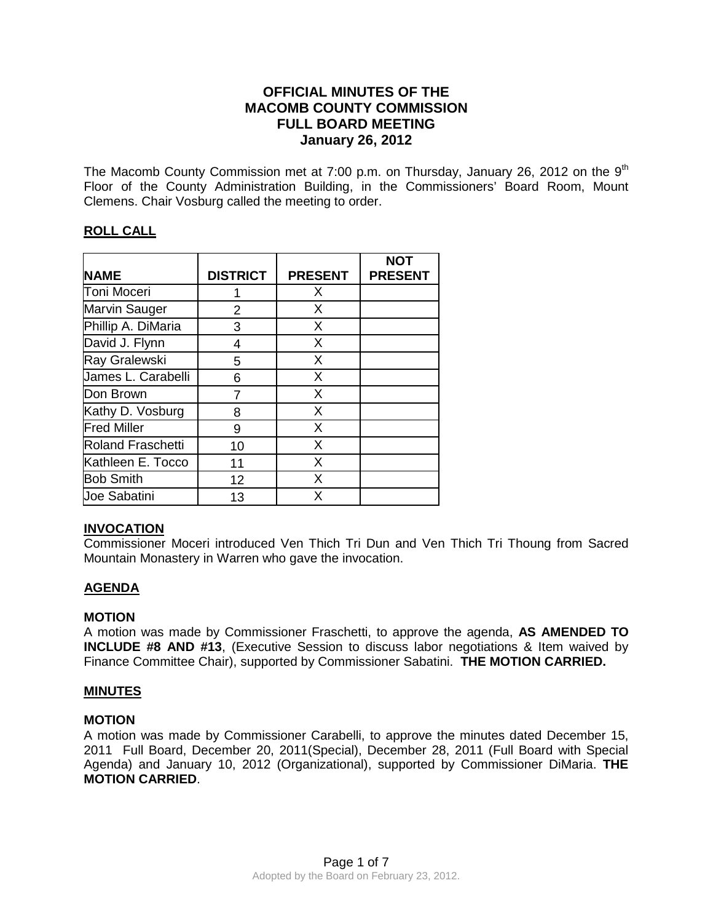# **OFFICIAL MINUTES OF THE MACOMB COUNTY COMMISSION FULL BOARD MEETING January 26, 2012**

The Macomb County Commission met at 7:00 p.m. on Thursday, January 26, 2012 on the  $9<sup>th</sup>$ Floor of the County Administration Building, in the Commissioners' Board Room, Mount Clemens. Chair Vosburg called the meeting to order.

# **ROLL CALL**

| <b>NAME</b>              | <b>DISTRICT</b> | <b>PRESENT</b> | <b>NOT</b><br><b>PRESENT</b> |
|--------------------------|-----------------|----------------|------------------------------|
|                          |                 |                |                              |
| <b>Toni Moceri</b>       |                 | X              |                              |
| Marvin Sauger            | 2               | X              |                              |
| Phillip A. DiMaria       | 3               | X              |                              |
| David J. Flynn           | 4               | X              |                              |
| Ray Gralewski            | 5               | X              |                              |
| James L. Carabelli       | 6               | X              |                              |
| Don Brown                |                 | X              |                              |
| Kathy D. Vosburg         | 8               | X              |                              |
| <b>Fred Miller</b>       | 9               | X              |                              |
| <b>Roland Fraschetti</b> | 10              | X              |                              |
| Kathleen E. Tocco        | 11              | X              |                              |
| <b>Bob Smith</b>         | 12              | X              |                              |
| Joe Sabatini             | 13              | X.             |                              |

## **INVOCATION**

Commissioner Moceri introduced Ven Thich Tri Dun and Ven Thich Tri Thoung from Sacred Mountain Monastery in Warren who gave the invocation.

## **AGENDA**

#### **MOTION**

A motion was made by Commissioner Fraschetti, to approve the agenda, **AS AMENDED TO INCLUDE #8 AND #13**, (Executive Session to discuss labor negotiations & Item waived by Finance Committee Chair), supported by Commissioner Sabatini. **THE MOTION CARRIED.** 

## **MINUTES**

#### **MOTION**

A motion was made by Commissioner Carabelli, to approve the minutes dated December 15, 2011 Full Board, December 20, 2011(Special), December 28, 2011 (Full Board with Special Agenda) and January 10, 2012 (Organizational), supported by Commissioner DiMaria. **THE MOTION CARRIED**.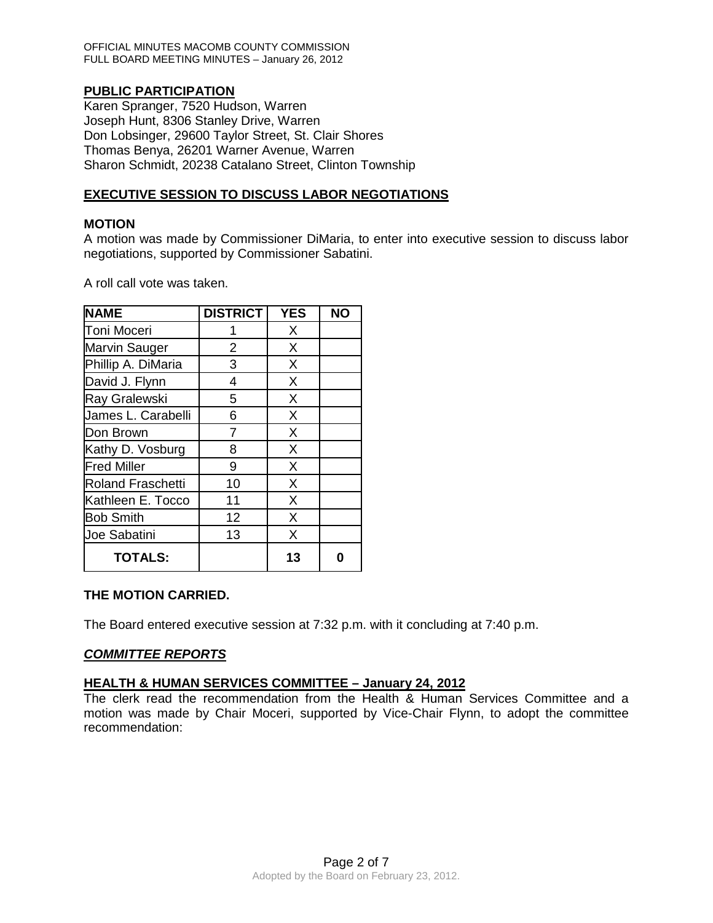OFFICIAL MINUTES MACOMB COUNTY COMMISSION FULL BOARD MEETING MINUTES – January 26, 2012

## **PUBLIC PARTICIPATION**

Karen Spranger, 7520 Hudson, Warren Joseph Hunt, 8306 Stanley Drive, Warren Don Lobsinger, 29600 Taylor Street, St. Clair Shores Thomas Benya, 26201 Warner Avenue, Warren Sharon Schmidt, 20238 Catalano Street, Clinton Township

### **EXECUTIVE SESSION TO DISCUSS LABOR NEGOTIATIONS**

#### **MOTION**

A motion was made by Commissioner DiMaria, to enter into executive session to discuss labor negotiations, supported by Commissioner Sabatini.

A roll call vote was taken.

| <b>NAME</b>              | <b>DISTRICT</b> | <b>YES</b> | <b>NO</b> |
|--------------------------|-----------------|------------|-----------|
| <b>Toni Moceri</b>       |                 | X          |           |
| Marvin Sauger            | $\overline{2}$  | X          |           |
| Phillip A. DiMaria       | 3               | X          |           |
| David J. Flynn           | 4               | X          |           |
| Ray Gralewski            | 5               | X          |           |
| James L. Carabelli       | 6               | X          |           |
| Don Brown                | 7               | X          |           |
| Kathy D. Vosburg         | 8               | X          |           |
| <b>Fred Miller</b>       | 9               | X          |           |
| <b>Roland Fraschetti</b> | 10              | X          |           |
| Kathleen E. Tocco        | 11              | X          |           |
| <b>Bob Smith</b>         | 12              | X          |           |
| Joe Sabatini             | 13              | X          |           |
| <b>TOTALS:</b>           |                 | 13         |           |

#### **THE MOTION CARRIED.**

The Board entered executive session at 7:32 p.m. with it concluding at 7:40 p.m.

#### *COMMITTEE REPORTS*

#### **HEALTH & HUMAN SERVICES COMMITTEE – January 24, 2012**

The clerk read the recommendation from the Health & Human Services Committee and a motion was made by Chair Moceri, supported by Vice-Chair Flynn, to adopt the committee recommendation: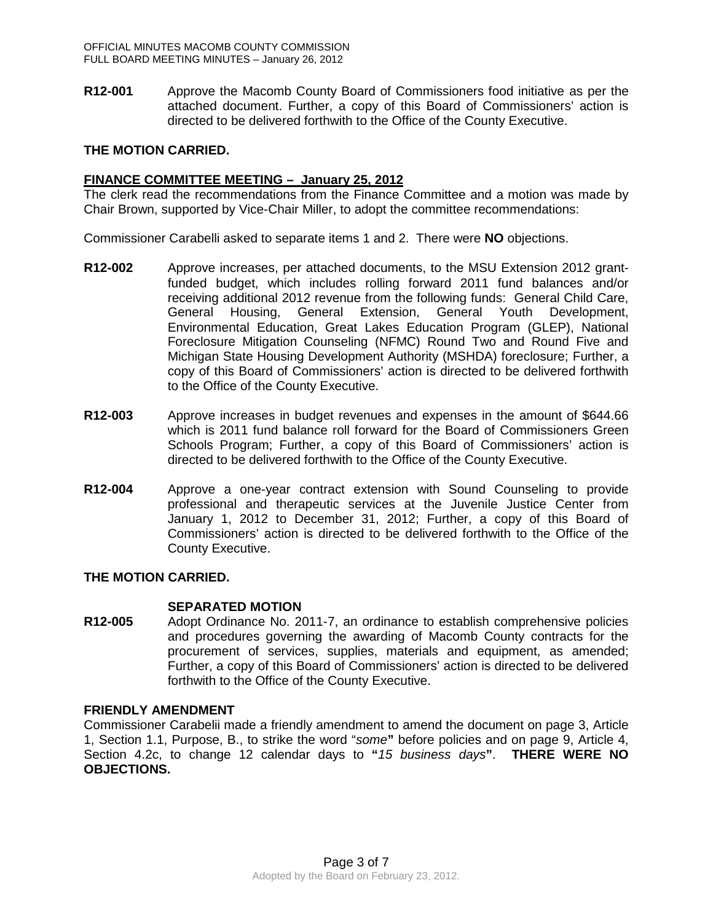**R12-001** Approve the Macomb County Board of Commissioners food initiative as per the attached document. Further, a copy of this Board of Commissioners' action is directed to be delivered forthwith to the Office of the County Executive.

### **THE MOTION CARRIED.**

### **FINANCE COMMITTEE MEETING – January 25, 2012**

The clerk read the recommendations from the Finance Committee and a motion was made by Chair Brown, supported by Vice-Chair Miller, to adopt the committee recommendations:

Commissioner Carabelli asked to separate items 1 and 2. There were **NO** objections.

- **R12-002** Approve increases, per attached documents, to the MSU Extension 2012 grantfunded budget, which includes rolling forward 2011 fund balances and/or receiving additional 2012 revenue from the following funds: General Child Care, General Housing, General Extension, General Youth Development, Environmental Education, Great Lakes Education Program (GLEP), National Foreclosure Mitigation Counseling (NFMC) Round Two and Round Five and Michigan State Housing Development Authority (MSHDA) foreclosure; Further, a copy of this Board of Commissioners' action is directed to be delivered forthwith to the Office of the County Executive.
- **R12-003** Approve increases in budget revenues and expenses in the amount of \$644.66 which is 2011 fund balance roll forward for the Board of Commissioners Green Schools Program; Further, a copy of this Board of Commissioners' action is directed to be delivered forthwith to the Office of the County Executive.
- **R12-004** Approve a one-year contract extension with Sound Counseling to provide professional and therapeutic services at the Juvenile Justice Center from January 1, 2012 to December 31, 2012; Further, a copy of this Board of Commissioners' action is directed to be delivered forthwith to the Office of the County Executive.

## **THE MOTION CARRIED.**

#### **SEPARATED MOTION**

**R12-005** Adopt Ordinance No. 2011-7, an ordinance to establish comprehensive policies and procedures governing the awarding of Macomb County contracts for the procurement of services, supplies, materials and equipment, as amended; Further, a copy of this Board of Commissioners' action is directed to be delivered forthwith to the Office of the County Executive.

#### **FRIENDLY AMENDMENT**

Commissioner Carabelii made a friendly amendment to amend the document on page 3, Article 1, Section 1.1, Purpose, B., to strike the word "*some***"** before policies and on page 9, Article 4, Section 4.2c, to change 12 calendar days to **"***15 business days***"**. **THERE WERE NO OBJECTIONS.**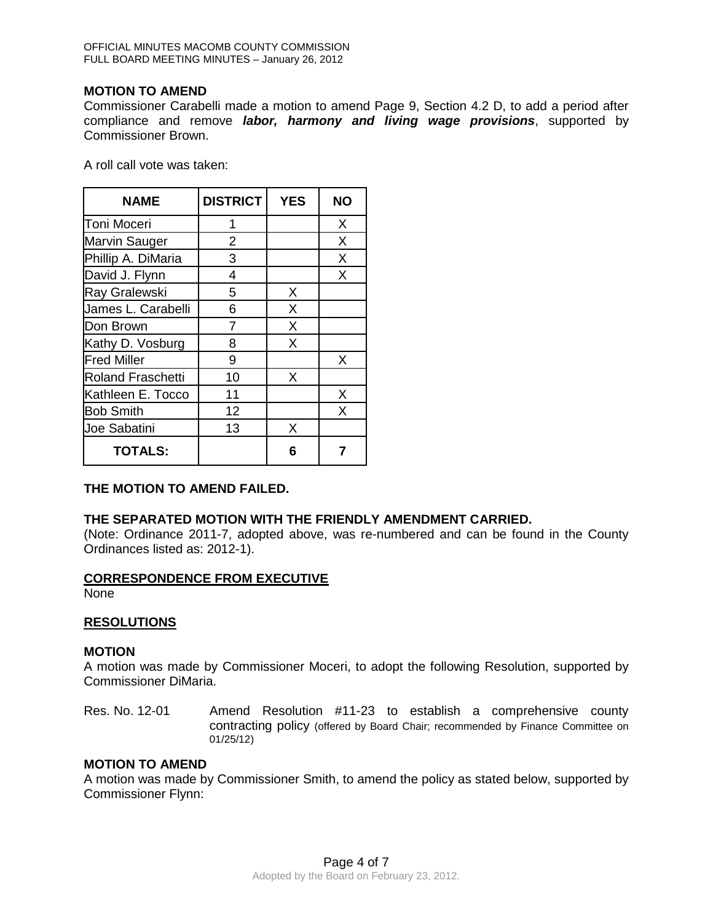### **MOTION TO AMEND**

Commissioner Carabelli made a motion to amend Page 9, Section 4.2 D, to add a period after compliance and remove *labor, harmony and living wage provisions*, supported by Commissioner Brown.

A roll call vote was taken:

| <b>NAME</b>              | <b>DISTRICT</b> | <b>YES</b> | ΝO |
|--------------------------|-----------------|------------|----|
| Toni Moceri              | 1               |            | X  |
| <b>Marvin Sauger</b>     | 2               |            | X  |
| Phillip A. DiMaria       | 3               |            | X  |
| David J. Flynn           | 4               |            | X  |
| Ray Gralewski            | 5               | X          |    |
| James L. Carabelli       | 6               | X          |    |
| Don Brown                | 7               | X          |    |
| Kathy D. Vosburg         | 8               | X          |    |
| <b>Fred Miller</b>       | 9               |            | X  |
| <b>Roland Fraschetti</b> | 10              | X          |    |
| Kathleen E. Tocco        | 11              |            | X  |
| <b>Bob Smith</b>         | 12              |            | X  |
| Joe Sabatini             | 13              | X          |    |
| <b>TOTALS:</b>           |                 | 6          |    |

## **THE MOTION TO AMEND FAILED.**

## **THE SEPARATED MOTION WITH THE FRIENDLY AMENDMENT CARRIED.**

(Note: Ordinance 2011-7, adopted above, was re-numbered and can be found in the County Ordinances listed as: 2012-1).

#### **CORRESPONDENCE FROM EXECUTIVE**

None

#### **RESOLUTIONS**

#### **MOTION**

A motion was made by Commissioner Moceri, to adopt the following Resolution, supported by Commissioner DiMaria.

Res. No. 12-01 Amend Resolution #11-23 to establish a comprehensive county contracting policy (offered by Board Chair; recommended by Finance Committee on 01/25/12)

### **MOTION TO AMEND**

A motion was made by Commissioner Smith, to amend the policy as stated below, supported by Commissioner Flynn: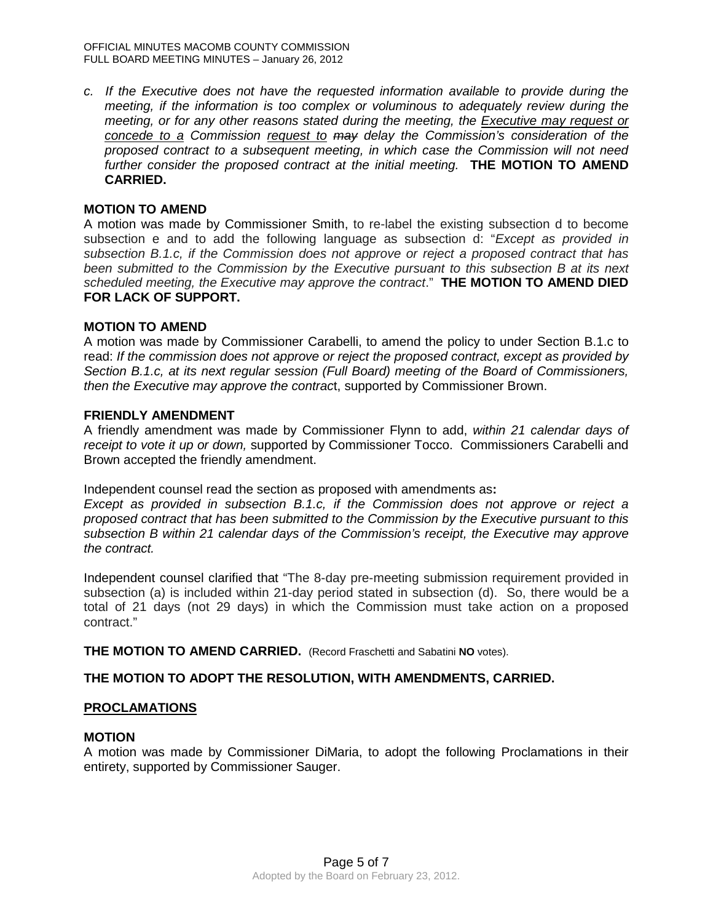*c. If the Executive does not have the requested information available to provide during the meeting, if the information is too complex or voluminous to adequately review during the meeting, or for any other reasons stated during the meeting, the Executive may request or concede to a Commission request to may delay the Commission's consideration of the proposed contract to a subsequent meeting, in which case the Commission will not need further consider the proposed contract at the initial meeting.* **THE MOTION TO AMEND CARRIED.**

## **MOTION TO AMEND**

A motion was made by Commissioner Smith, to re-label the existing subsection d to become subsection e and to add the following language as subsection d: "*Except as provided in subsection B.1.c, if the Commission does not approve or reject a proposed contract that has been submitted to the Commission by the Executive pursuant to this subsection B at its next scheduled meeting, the Executive may approve the contract*."**THE MOTION TO AMEND DIED FOR LACK OF SUPPORT.**

### **MOTION TO AMEND**

A motion was made by Commissioner Carabelli, to amend the policy to under Section B.1.c to read: *If the commission does not approve or reject the proposed contract, except as provided by Section B.1.c, at its next regular session (Full Board) meeting of the Board of Commissioners, then the Executive may approve the contrac*t, supported by Commissioner Brown.

#### **FRIENDLY AMENDMENT**

A friendly amendment was made by Commissioner Flynn to add, *within 21 calendar days of receipt to vote it up or down,* supported by Commissioner Tocco. Commissioners Carabelli and Brown accepted the friendly amendment.

Independent counsel read the section as proposed with amendments as**:**

*Except as provided in subsection B.1.c, if the Commission does not approve or reject a proposed contract that has been submitted to the Commission by the Executive pursuant to this subsection B within 21 calendar days of the Commission's receipt, the Executive may approve the contract.* 

Independent counsel clarified that "The 8-day pre-meeting submission requirement provided in subsection (a) is included within 21-day period stated in subsection (d). So, there would be a total of 21 days (not 29 days) in which the Commission must take action on a proposed contract."

**THE MOTION TO AMEND CARRIED.** (Record Fraschetti and Sabatini **NO** votes).

## **THE MOTION TO ADOPT THE RESOLUTION, WITH AMENDMENTS, CARRIED.**

#### **PROCLAMATIONS**

#### **MOTION**

A motion was made by Commissioner DiMaria, to adopt the following Proclamations in their entirety, supported by Commissioner Sauger.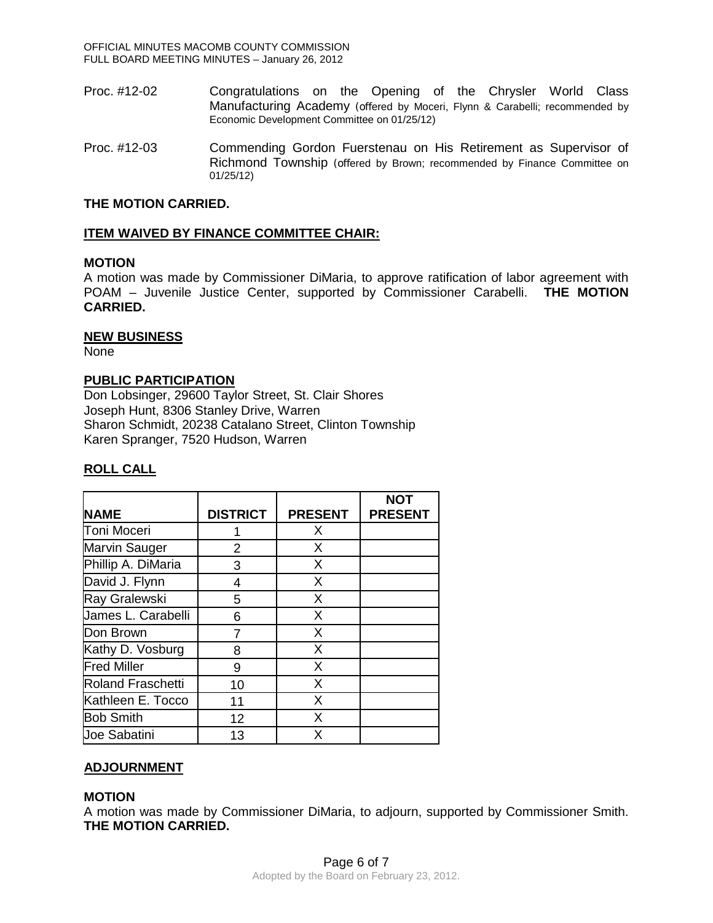- Proc. #12-02 Congratulations on the Opening of the Chrysler World Class Manufacturing Academy (offered by Moceri, Flynn & Carabelli; recommended by Economic Development Committee on 01/25/12)
- Proc. #12-03 Commending Gordon Fuerstenau on His Retirement as Supervisor of Richmond Township (offered by Brown; recommended by Finance Committee on 01/25/12)

### **THE MOTION CARRIED.**

### **ITEM WAIVED BY FINANCE COMMITTEE CHAIR:**

### **MOTION**

A motion was made by Commissioner DiMaria, to approve ratification of labor agreement with POAM – Juvenile Justice Center, supported by Commissioner Carabelli. **THE MOTION CARRIED.** 

### **NEW BUSINESS**

None

### **PUBLIC PARTICIPATION**

Don Lobsinger, 29600 Taylor Street, St. Clair Shores Joseph Hunt, 8306 Stanley Drive, Warren Sharon Schmidt, 20238 Catalano Street, Clinton Township Karen Spranger, 7520 Hudson, Warren

### **ROLL CALL**

|                          |                 |                | <b>NOT</b>     |
|--------------------------|-----------------|----------------|----------------|
| <b>NAME</b>              | <b>DISTRICT</b> | <b>PRESENT</b> | <b>PRESENT</b> |
| Toni Moceri              |                 | X              |                |
| Marvin Sauger            | 2               | X              |                |
| Phillip A. DiMaria       | 3               | X              |                |
| David J. Flynn           | 4               | X              |                |
| Ray Gralewski            | 5               | X              |                |
| James L. Carabelli       | 6               | X              |                |
| Don Brown                | 7               | X              |                |
| Kathy D. Vosburg         | 8               | X              |                |
| <b>Fred Miller</b>       | 9               | X              |                |
| <b>Roland Fraschetti</b> | 10              | X              |                |
| Kathleen E. Tocco        | 11              | X              |                |
| <b>Bob Smith</b>         | 12              | X              |                |
| Joe Sabatini             | 13              | x              |                |

## **ADJOURNMENT**

#### **MOTION**

A motion was made by Commissioner DiMaria, to adjourn, supported by Commissioner Smith. **THE MOTION CARRIED.**